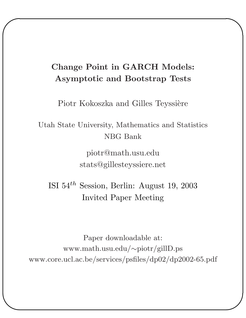## Change Point in GARCH Models: Asymptotic and Bootstrap Tests

✬

✫

Piotr Kokoszka and Gilles Teyssière

### Utah State University, Mathematics and Statistics NBG Bank

piotr@math.usu.edu stats@gillesteyssiere.net

ISI 54th Session, Berlin: August 19, 2003 Invited Paper Meeting

Paper downloadable at: www.math.usu.edu/∼piotr/gillD.ps www.core.ucl.ac.be/services/psfiles/dp02/dp2002-65.pdf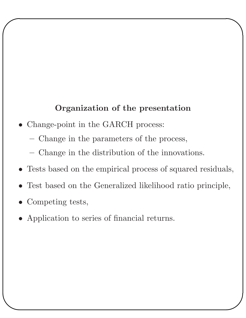#### Organization of the presentation

- Change-point in the GARCH process:
	- Change in the parameters of the process,
	- Change in the distribution of the innovations.
- Tests based on the empirical process of squared residuals,
- Test based on the Generalized likelihood ratio principle,
- Competing tests,

✫

✬

• Application to series of financial returns.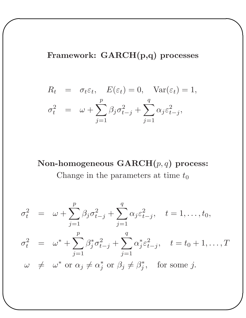Framework: GARCH(p,q) processes

✬

✫

$$
R_t = \sigma_t \varepsilon_t, \quad E(\varepsilon_t) = 0, \quad \text{Var}(\varepsilon_t) = 1,
$$
  

$$
\sigma_t^2 = \omega + \sum_{j=1}^p \beta_j \sigma_{t-j}^2 + \sum_{j=1}^q \alpha_j \varepsilon_{t-j}^2,
$$

## Non-homogeneous  $\textbf{GARCH}(p,q)$  process: Change in the parameters at time  $t_0$

$$
\sigma_t^2 = \omega + \sum_{j=1}^p \beta_j \sigma_{t-j}^2 + \sum_{j=1}^q \alpha_j \varepsilon_{t-j}^2, \quad t = 1, \dots, t_0,
$$
  

$$
\sigma_t^2 = \omega^* + \sum_{j=1}^p \beta_j^* \sigma_{t-j}^2 + \sum_{j=1}^q \alpha_j^* \varepsilon_{t-j}^2, \quad t = t_0 + 1, \dots, T
$$
  

$$
\omega \neq \omega^* \text{ or } \alpha_j \neq \alpha_j^* \text{ or } \beta_j \neq \beta_j^*, \quad \text{for some } j.
$$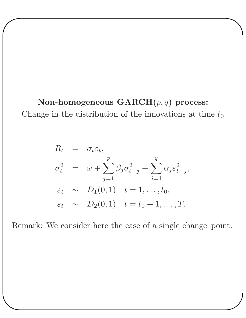Non-homogeneous  $\text{GARCH}(p, q)$  process: Change in the distribution of the innovations at time  $t_0$ 

✬

✫

$$
R_t = \sigma_t \varepsilon_t,
$$
  
\n
$$
\sigma_t^2 = \omega + \sum_{j=1}^p \beta_j \sigma_{t-j}^2 + \sum_{j=1}^q \alpha_j \varepsilon_{t-j}^2,
$$
  
\n
$$
\varepsilon_t \sim D_1(0,1) \quad t = 1, ..., t_0,
$$
  
\n
$$
\varepsilon_t \sim D_2(0,1) \quad t = t_0 + 1, ..., T.
$$

Remark: We consider here the case of a single change–point.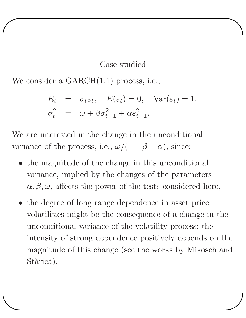#### Case studied

We consider a GARCH $(1,1)$  process, i.e.,

✬

✫

$$
R_t = \sigma_t \varepsilon_t, \quad E(\varepsilon_t) = 0, \quad \text{Var}(\varepsilon_t) = 1,
$$
  

$$
\sigma_t^2 = \omega + \beta \sigma_{t-1}^2 + \alpha \varepsilon_{t-1}^2.
$$

We are interested in the change in the unconditional variance of the process, i.e.,  $\omega/(1-\beta-\alpha)$ , since:

- the magnitude of the change in this unconditional variance, implied by the changes of the parameters  $\alpha, \beta, \omega$ , affects the power of the tests considered here,
- the degree of long range dependence in asset price volatilities might be the consequence of a change in the unconditional variance of the volatility process; the intensity of strong dependence positively depends on the magnitude of this change (see the works by Mikosch and Stărică).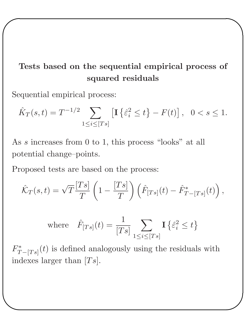## Tests based on the sequential empirical process of squared residuals

Sequential empirical process:

✬

✫

$$
\hat{K}_T(s,t) = T^{-1/2} \sum_{1 \le i \le [Ts]} \left[ \mathbf{I} \left\{ \hat{\varepsilon}_i^2 \le t \right\} - F(t) \right], \quad 0 < s \le 1.
$$

As s increases from 0 to 1, this process "looks" at all potential change–points.

Proposed tests are based on the process:

$$
\hat{\mathcal{K}}_T(s,t) = \sqrt{T} \frac{[Ts]}{T} \left( 1 - \frac{[Ts]}{T} \right) \left( \hat{F}_{[Ts]}(t) - \hat{F}_{T-[Ts]}^*(t) \right),
$$

where 
$$
\hat{F}_{[Ts]}(t) = \frac{1}{[Ts]} \sum_{1 \le i \le [Ts]} \mathbf{I} \{\hat{\varepsilon}_i^2 \le t\}
$$

 $F_T^*$  $T_{T-[Ts]}(t)$  is defined analogously using the residuals with indexes larger than  $[Ts]$ .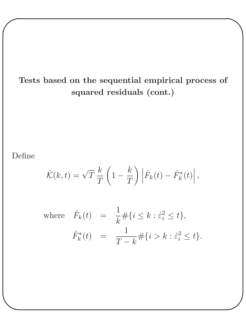# Tests based on the sequential empirical process of squared residuals (cont.)

### Define

✫

✬

$$
\hat{\mathcal{K}}(k,t) = \sqrt{T} \frac{k}{T} \left( 1 - \frac{k}{T} \right) \left| \hat{F}_k(t) - \hat{F}_k^*(t) \right|,
$$

where 
$$
\hat{F}_k(t) = \frac{1}{k} \# \{ i \le k : \hat{\varepsilon}_i^2 \le t \},
$$
  
\n $\hat{F}_k^*(t) = \frac{1}{T - k} \# \{ i > k : \hat{\varepsilon}_i^2 \le t \}.$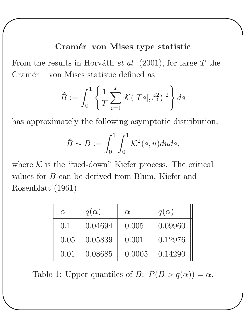#### Cramér–von Mises type statistic

From the results in Horváth et al. (2001), for large  $T$  the  $Cramér - von Mises statistic defined as$ 

✬

✫

$$
\hat{B} := \int_0^1 \left\{ \frac{1}{T} \sum_{i=1}^T [\hat{\mathcal{K}}([Ts], \hat{\varepsilon}_i^2)]^2 \right\} ds
$$

has approximately the following asymptotic distribution:

$$
\hat{B} \sim B := \int_0^1 \int_0^1 \mathcal{K}^2(s, u) du ds,
$$

where  $K$  is the "tied-down" Kiefer process. The critical values for B can be derived from Blum, Kiefer and Rosenblatt (1961).

| $\alpha$ | $q(\alpha)$ | $\alpha$ | $q(\alpha)$ |
|----------|-------------|----------|-------------|
| 0.1      | 0.04694     | 0.005    | 0.09960     |
| 0.05     | 0.05839     | 0.001    | 0.12976     |
| 0.01     | 0.08685     | 0.0005   | 0.14290     |

Table 1: Upper quantiles of B;  $P(B > q(\alpha)) = \alpha$ .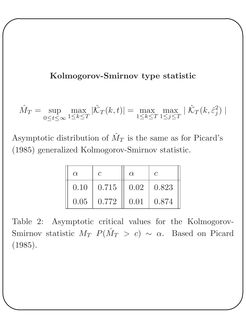#### Kolmogorov-Smirnov type statistic

✬

✫

$$
\hat{M}_T = \sup_{0 \le t \le \infty} \max_{1 \le k \le T} |\hat{K}_T(k, t)| = \max_{1 \le k \le T} \max_{1 \le j \le T} |\hat{K}_T(k, \hat{\varepsilon}_j^2)|
$$

Asymptotic distribution of  $\hat{M}_T$  is the same as for Picard's (1985) generalized Kolmogorov-Smirnov statistic.

| $\alpha$ | $\mathcal{C}$    | $\alpha$                           | $\mathcal{C}$ |
|----------|------------------|------------------------------------|---------------|
|          | $0.10 \pm 0.715$ | $\parallel$ 0.02 $\parallel$ 0.823 |               |
|          | $0.05 \pm 0.772$ | $\parallel$ 0.01   0.874           |               |

Table 2: Asymptotic critical values for the Kolmogorov-Smirnov statistic  $M_T$   $P(\hat{M}_T > c) \sim \alpha$ . Based on Picard (1985).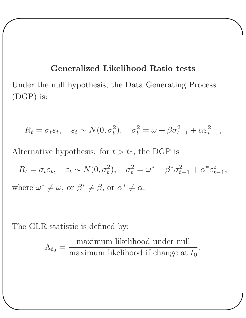#### Generalized Likelihood Ratio tests

Under the null hypothesis, the Data Generating Process (DGP) is:

$$
R_t = \sigma_t \varepsilon_t, \quad \varepsilon_t \sim N(0, \sigma_t^2), \quad \sigma_t^2 = \omega + \beta \sigma_{t-1}^2 + \alpha \varepsilon_{t-1}^2,
$$

Alternative hypothesis: for  $t > t_0$ , the DGP is

 $R_t = \sigma_t \varepsilon_t$ ,  $\varepsilon_t \sim N(0, \sigma_t^2)$ ,  $\sigma_t^2 = \omega^* + \beta^* \sigma_{t-1}^2 + \alpha^* \varepsilon_t^2$  $\frac{2}{t-1}$ where  $\omega^* \neq \omega$ , or  $\beta^* \neq \beta$ , or  $\alpha^* \neq \alpha$ .

The GLR statistic is defined by:

✬

✫

 $\Lambda_{t_0} =$ maximum likelihood under null maximum likelihood if change at  $t_0$ 

.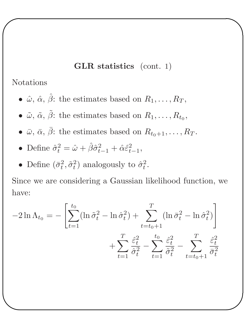#### GLR statistics (cont. 1)

Notations

✫

✬

- $\hat{\omega}$ ,  $\hat{\alpha}$ ,  $\hat{\beta}$ : the estimates based on  $R_1, \ldots, R_T$ ,
- $\tilde{\omega}$ ,  $\tilde{\alpha}$ ,  $\tilde{\beta}$ : the estimates based on  $R_1, \ldots, R_{t_0}$ ,
- $\bar{\omega}$ ,  $\bar{\alpha}$ ,  $\bar{\beta}$ : the estimates based on  $R_{t_0+1}, \ldots, R_T$ .
- Define  $\hat{\sigma}_t^2 = \hat{\omega} + \hat{\beta}\hat{\sigma}_{t-1}^2 + \hat{\alpha}\hat{\varepsilon}_t^2$  $_{t-1}^2,$
- Define  $(\bar{\sigma}_t^2)$  $t^2, \tilde{\sigma}_t^2$  $\hat{t}$ ) analogously to  $\hat{\sigma}^2_t$  $\frac{2}{t}$ .

Since we are considering a Gaussian likelihood function, we have:

$$
-2\ln\Lambda_{t_0} = -\left[\sum_{t=1}^{t_0} (\ln\tilde{\sigma}_t^2 - \ln\hat{\sigma}_t^2) + \sum_{t=t_0+1}^T (\ln\bar{\sigma}_t^2 - \ln\hat{\sigma}_t^2) + \sum_{t=1}^T \frac{\hat{\varepsilon}_t^2}{\hat{\sigma}_t^2} - \sum_{t=1}^{t_0} \frac{\hat{\varepsilon}_t^2}{\tilde{\sigma}_t^2} - \sum_{t=t_0+1}^T \frac{\hat{\varepsilon}_t^2}{\bar{\sigma}_t^2}\right]
$$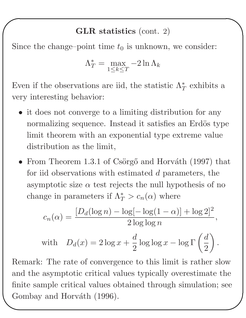#### GLR statistics (cont. 2)

Since the change–point time  $t_0$  is unknown, we consider:

✬

✫

$$
\Lambda_T^* = \max_{1 \le k \le T} -2\ln \Lambda_k
$$

Even if the observations are iid, the statistic  $\Lambda^*_T$  exhibits a very interesting behavior:

- it does not converge to a limiting distribution for any normalizing sequence. Instead it satisfies an Erdös type limit theorem with an exponential type extreme value distribution as the limit,
- From Theorem 1.3.1 of Csörgő and Horváth (1997) that for iid observations with estimated d parameters, the asymptotic size  $\alpha$  test rejects the null hypothesis of no change in parameters if  $\Lambda_T^* > c_n(\alpha)$  where

$$
c_n(\alpha) = \frac{[D_d(\log n) - \log[-\log(1 - \alpha)] + \log 2]^2}{2 \log \log n},
$$

with 
$$
D_d(x) = 2\log x + \frac{d}{2}\log \log x - \log \Gamma\left(\frac{d}{2}\right)
$$
.

Remark: The rate of convergence to this limit is rather slow and the asymptotic critical values typically overestimate the finite sample critical values obtained through simulation; see Gombay and Horváth (1996).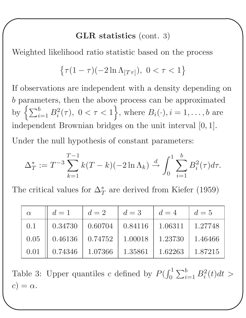#### GLR statistics (cont. 3)

Weighted likelihood ratio statistic based on the process

✬

✫

$$
\{\tau(1-\tau)(-2\ln \Lambda_{[T\tau]}), \ 0 < \tau < 1\}
$$

If observations are independent with a density depending on b parameters, then the above process can be approximated by  $\left\{\sum_{i=1}^b B_i^2(\tau), 0 < \tau < 1\right\}$ , where  $B_i(\cdot), i = 1, \ldots, b$  are independent Brownian bridges on the unit interval [0, 1].

Under the null hypothesis of constant parameters:

$$
\Delta_T^* := T^{-3} \sum_{k=1}^{T-1} k(T-k)(-2\ln \Lambda_k) \stackrel{d}{\to} \int_0^1 \sum_{i=1}^b B_i^2(\tau) d\tau.
$$

The critical values for  $\Delta_T^*$  are derived from Kiefer (1959)

| $\alpha$ | $d=1$                                                                                               | $d=2$                             | $\begin{array}{c} d = 3 \end{array}$ | $d=4$               | $d=5$   |
|----------|-----------------------------------------------------------------------------------------------------|-----------------------------------|--------------------------------------|---------------------|---------|
| 0.1      | $\parallel$ 0.34730 $\parallel$ 0.60704 $\parallel$ 0.84116 $\parallel$ 1.06311 $\parallel$ 1.27748 |                                   |                                      |                     |         |
| 0.05     |                                                                                                     | $0.46136$   $0.74752$   $1.00018$ |                                      | $1.23730$   1.46466 |         |
| 0.01     | 0.74346                                                                                             | 1.07366                           | 1.35861                              | 1.62263             | 1.87215 |

Table 3: Upper quantiles c defined by  $P(\int_0^1 \sum_{i=1}^b B_i^2(t)dt >$  $c) = \alpha$ .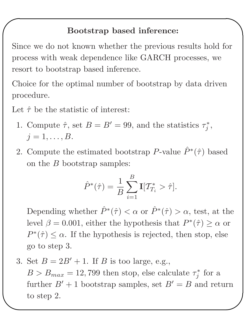#### Bootstrap based inference:

Since we do not known whether the previous results hold for process with weak dependence like GARCH processes, we resort to bootstrap based inference.

Choice for the optimal number of bootstrap by data driven procedure.

Let  $\hat{\tau}$  be the statistic of interest:

✬

✫

- 1. Compute  $\hat{\tau}$ , set  $B = B' = 99$ , and the statistics  $\tau_i^*$ . $_{j}^{\ast}$  ,  $j=1,\ldots,B.$
- 2. Compute the estimated bootstrap P-value  $\hat{P}^*(\hat{\tau})$  based on the B bootstrap samples:

$$
\hat{P}^*(\hat{\tau}) = \frac{1}{B} \sum_{i=1}^{B} \mathbf{I}[T^*_{T_i} > \hat{\tau}].
$$

Depending whether  $\hat{P}^*(\hat{\tau}) < \alpha$  or  $\hat{P}^*(\hat{\tau}) > \alpha$ , test, at the level  $\beta = 0.001$ , either the hypothesis that  $P^*(\hat{\tau}) \ge \alpha$  or  $P^*(\hat{\tau}) \leq \alpha$ . If the hypothesis is rejected, then stop, else go to step 3.

3. Set  $B = 2B' + 1$ . If B is too large, e.g.,  $B > B_{max} = 12{,}799$  then stop, else calculate  $\tau_i^*$  $j^*$  for a further  $B' + 1$  bootstrap samples, set  $B' = B$  and return to step 2.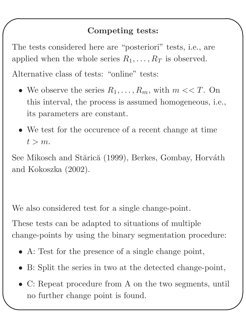#### Competing tests:

The tests considered here are "posteriori" tests, i.e., are applied when the whole series  $R_1, \ldots, R_T$  is observed. Alternative class of tests: "online" tests:

✬

✫

- We observe the series  $R_1, \ldots, R_m$ , with  $m \ll T$ . On this interval, the process is assumed homogeneous, i.e., its parameters are constant.
- We test for the occurence of a recent change at time  $t > m$ .

See Mikosch and Stărică (1999), Berkes, Gombay, Horváth and Kokoszka (2002).

We also considered test for a single change-point.

These tests can be adapted to situations of multiple change-points by using the binary segmentation procedure:

- A: Test for the presence of a single change point,
- B: Split the series in two at the detected change-point,
- C: Repeat procedure from A on the two segments, until no further change point is found.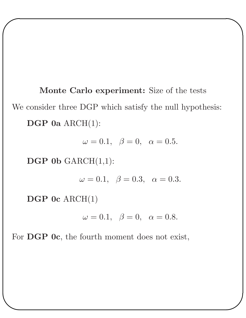Monte Carlo experiment: Size of the tests We consider three DGP which satisfy the null hypothesis: DGP 0a ARCH(1):

$$
\omega=0.1, \hspace{0.2cm}\beta=0, \hspace{0.2cm}\alpha=0.5.
$$

 $\bf DGP$  0b  $\rm GARCH(1,1)$ :

$$
\omega = 0.1, \ \beta = 0.3, \ \alpha = 0.3.
$$

DGP 0c ARCH(1)

✬

✫

$$
\omega = 0.1, \ \beta = 0, \ \alpha = 0.8.
$$

For **DGP 0c**, the fourth moment does not exist,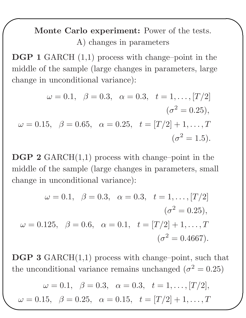## Monte Carlo experiment: Power of the tests. A) changes in parameters

 $\bf DGP 1 \text{ GARCH} (1,1) \text{ process with change-point in the}$ middle of the sample (large changes in parameters, large change in unconditional variance):

✬

$$
\omega = 0.1, \quad \beta = 0.3, \quad \alpha = 0.3, \quad t = 1, \dots, [T/2]
$$
  
\n $(\sigma^2 = 0.25),$   
\n $\omega = 0.15, \quad \beta = 0.65, \quad \alpha = 0.25, \quad t = [T/2] + 1, \dots, T$   
\n $(\sigma^2 = 1.5).$ 

 $\bf DGP$  2 GARCH $(1,1)$  process with change–point in the middle of the sample (large changes in parameters, small change in unconditional variance):

$$
\omega = 0.1, \ \beta = 0.3, \ \alpha = 0.3, \ t = 1, ..., [T/2]
$$

$$
(\sigma^2 = 0.25),
$$

$$
\omega = 0.125, \ \beta = 0.6, \ \alpha = 0.1, \ t = [T/2] + 1, ..., T
$$

$$
(\sigma^2 = 0.4667).
$$

**DGP 3** GARCH $(1,1)$  process with change–point, such that the unconditional variance remains unchanged ( $\sigma^2 = 0.25$ )

$$
\omega = 0.1, \ \beta = 0.3, \ \alpha = 0.3, \ t = 1, ..., [T/2],
$$

$$
\omega = 0.15, \ \beta = 0.25, \ \alpha = 0.15, \ t = [T/2] + 1, ..., T
$$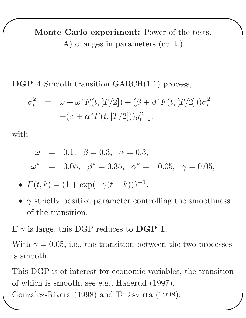# Monte Carlo experiment: Power of the tests. A) changes in parameters (cont.)

**DGP** 4 Smooth transition  $GARCH(1,1)$  process,

$$
\sigma_t^2 = \omega + \omega^* F(t, [T/2]) + (\beta + \beta^* F(t, [T/2])) \sigma_{t-1}^2 + (\alpha + \alpha^* F(t, [T/2])) y_{t-1}^2,
$$

with

✫

✬

$$
\begin{array}{rcl}\n\omega & = & 0.1, \ \beta = 0.3, \ \alpha = 0.3, \\
\omega^* & = & 0.05, \ \beta^* = 0.35, \ \alpha^* = -0.05, \ \gamma = 0.05,\n\end{array}
$$

• 
$$
F(t,k) = (1 + \exp(-\gamma(t-k)))^{-1},
$$

•  $\gamma$  strictly positive parameter controlling the smoothness of the transition.

If  $\gamma$  is large, this DGP reduces to DGP 1.

With  $\gamma = 0.05$ , i.e., the transition between the two processes is smooth.

This DGP is of interest for economic variables, the transition of which is smooth, see e.g., Hagerud (1997), Gonzalez-Rivera (1998) and Teräsvirta (1998).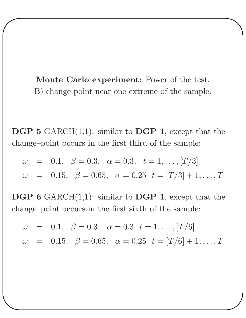Monte Carlo experiment: Power of the test. B) change-point near one extreme of the sample.

✬

✫

**DGP 5** GARCH $(1,1)$ : similar to **DGP 1**, except that the change–point occurs in the first third of the sample:

$$
\begin{array}{rcl}\n\omega & = & 0.1, \ \beta = 0.3, \ \alpha = 0.3, \ \ t = 1, \dots, [T/3] \\
\omega & = & 0.15, \ \ \beta = 0.65, \ \ \alpha = 0.25 \ \ t = [T/3] + 1, \dots, T\n\end{array}
$$

**DGP 6** GARCH $(1,1)$ : similar to **DGP 1**, except that the change–point occurs in the first sixth of the sample:

$$
\begin{array}{rcl}\n\omega & = & 0.1, \quad \beta = 0.3, \quad \alpha = 0.3 \quad t = 1, \dots, [T/6] \\
\omega & = & 0.15, \quad \beta = 0.65, \quad \alpha = 0.25 \quad t = [T/6] + 1, \dots, T\n\end{array}
$$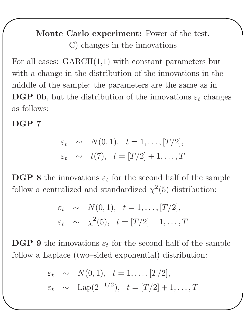## Monte Carlo experiment: Power of the test. C) changes in the innovations

For all cases:  $GARCH(1,1)$  with constant parameters but with a change in the distribution of the innovations in the middle of the sample: the parameters are the same as in **DGP 0b**, but the distribution of the innovations  $\varepsilon_t$  changes as follows:

#### DGP 7

✫

✬

$$
\varepsilon_t \sim N(0, 1), \quad t = 1, \dots, [T/2],
$$
  
\n $\varepsilon_t \sim t(7), \quad t = [T/2] + 1, \dots, T$ 

**DGP 8** the innovations  $\varepsilon_t$  for the second half of the sample follow a centralized and standardized  $\chi^2(5)$  distribution:

$$
\varepsilon_t \sim N(0, 1), \quad t = 1, \ldots, [T/2],
$$
  
\n $\varepsilon_t \sim \chi^2(5), \quad t = [T/2] + 1, \ldots, T$ 

**DGP 9** the innovations  $\varepsilon_t$  for the second half of the sample follow a Laplace (two–sided exponential) distribution:

$$
\varepsilon_t \sim N(0, 1), \quad t = 1, \dots, [T/2],
$$
  

$$
\varepsilon_t \sim \text{Lap}(2^{-1/2}), \quad t = [T/2] + 1, \dots, T
$$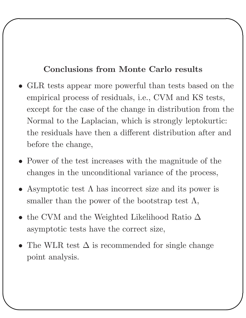### Conclusions from Monte Carlo results

✬

- GLR tests appear more powerful than tests based on the empirical process of residuals, i.e., CVM and KS tests, except for the case of the change in distribution from the Normal to the Laplacian, which is strongly leptokurtic: the residuals have then a different distribution after and before the change,
- Power of the test increases with the magnitude of the changes in the unconditional variance of the process,
- Asymptotic test  $\Lambda$  has incorrect size and its power is smaller than the power of the bootstrap test  $\Lambda$ ,
- the CVM and the Weighted Likelihood Ratio  $\Delta$ asymptotic tests have the correct size,
- The WLR test  $\Delta$  is recommended for single change point analysis.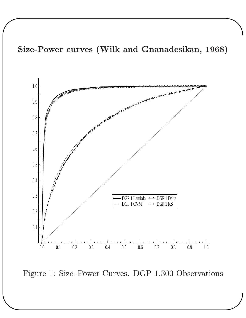



Figure 1: Size–Power Curves. DGP 1.300 Observations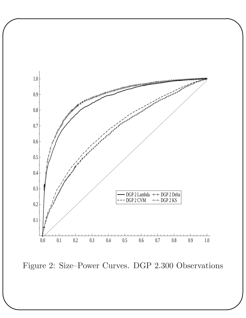

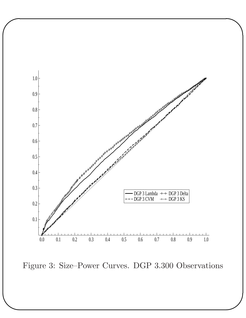

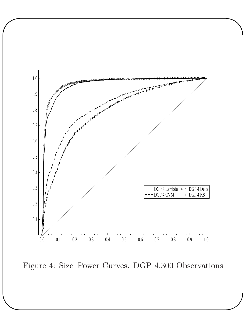

Figure 4: Size–Power Curves. DGP 4.300 Observations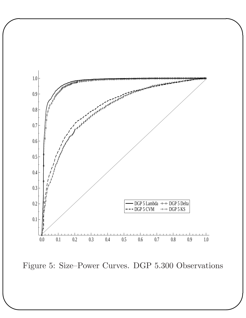

Figure 5: Size–Power Curves. DGP 5.300 Observations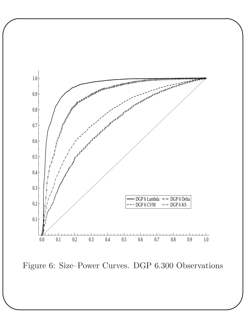

Figure 6: Size–Power Curves. DGP 6.300 Observations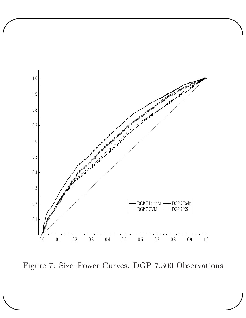

Figure 7: Size–Power Curves. DGP 7.300 Observations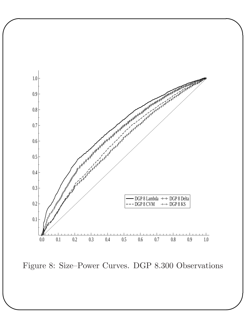

Figure 8: Size–Power Curves. DGP 8.300 Observations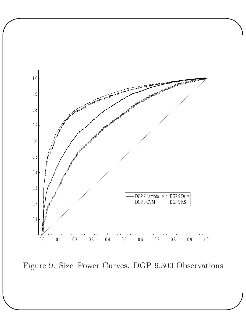

Figure 9: Size–Power Curves. DGP 9.300 Observations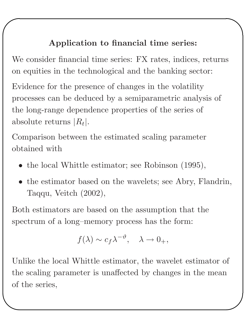## Application to financial time series:

✬

✫

We consider financial time series: FX rates, indices, returns on equities in the technological and the banking sector:

Evidence for the presence of changes in the volatility processes can be deduced by a semiparametric analysis of the long-range dependence properties of the series of absolute returns  $|R_t|$ .

Comparison between the estimated scaling parameter obtained with

- the local Whittle estimator; see Robinson (1995),
- the estimator based on the wavelets; see Abry, Flandrin, Taqqu, Veitch (2002),

Both estimators are based on the assumption that the spectrum of a long–memory process has the form:

$$
f(\lambda) \sim c_f \lambda^{-\vartheta}, \quad \lambda \to 0_+,
$$

Unlike the local Whittle estimator, the wavelet estimator of the scaling parameter is unaffected by changes in the mean of the series,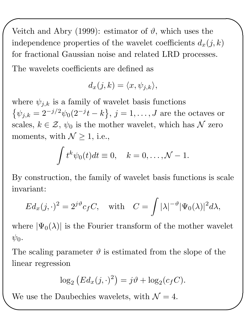Veitch and Abry (1999): estimator of  $\vartheta$ , which uses the independence properties of the wavelet coefficients  $d_x(j, k)$ for fractional Gaussian noise and related LRD processes. The wavelets coefficients are defined as

✬

✫

$$
d_x(j,k) = \langle x, \psi_{j,k} \rangle,
$$

where  $\psi_{j,k}$  is a family of wavelet basis functions  $\{\psi_{j,k} = 2^{-j/2}\psi_0(2^{-j}t - k\}, j = 1, \dots, J$  are the octaves or scales,  $k \in \mathcal{Z}$ ,  $\psi_0$  is the mother wavelet, which has N zero moments, with  $\mathcal{N} \geq 1$ , i.e.,

$$
\int t^k \psi_0(t) dt \equiv 0, \quad k = 0, \dots, \mathcal{N} - 1.
$$

By construction, the family of wavelet basis functions is scale invariant:

$$
Ed_x(j, \cdot)^2 = 2^{j\vartheta} c_f C, \quad \text{with} \quad C = \int |\lambda|^{-\vartheta} |\Psi_0(\lambda)|^2 d\lambda,
$$

where  $|\Psi_0(\lambda)|$  is the Fourier transform of the mother wavelet  $\psi_0$ .

The scaling parameter  $\vartheta$  is estimated from the slope of the linear regression

$$
\log_2 (Ed_x(j, \cdot)^2) = j\vartheta + \log_2(c_f C).
$$

We use the Daubechies wavelets, with  $\mathcal{N} = 4$ .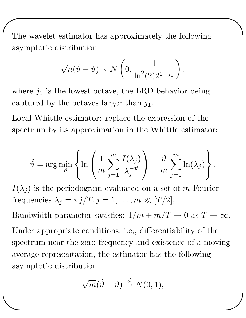The wavelet estimator has approximately the following asymptotic distribution

✬

✫

$$
\sqrt{n}(\hat{\vartheta} - \vartheta) \sim N\left(0, \frac{1}{\ln^2(2)2^{1-j_1}}\right),\,
$$

where  $j_1$  is the lowest octave, the LRD behavior being captured by the octaves larger than  $j_1$ .

Local Whittle estimator: replace the expression of the spectrum by its approximation in the Whittle estimator:

$$
\hat{\vartheta} = \arg \min_{\vartheta} \left\{ \ln \left( \frac{1}{m} \sum_{j=1}^{m} \frac{I(\lambda_j)}{\lambda_j^{-\vartheta}} \right) - \frac{\vartheta}{m} \sum_{j=1}^{m} \ln(\lambda_j) \right\},\right\}
$$

 $I(\lambda_i)$  is the periodogram evaluated on a set of m Fourier frequencies  $\lambda_j = \pi j/T, j = 1, \ldots, m \ll [T/2],$ 

Bandwidth parameter satisfies:  $1/m + m/T \rightarrow 0$  as  $T \rightarrow \infty$ . Under appropriate conditions, i.e;, differentiability of the spectrum near the zero frequency and existence of a moving average representation, the estimator has the following asymptotic distribution

$$
\sqrt{m}(\hat{\vartheta}-\vartheta) \stackrel{d}{\rightarrow} N(0,1),
$$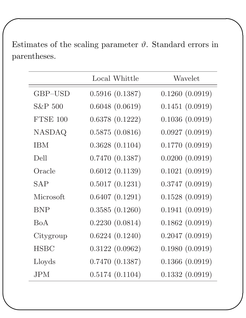Estimates of the scaling parameter  $\vartheta$ . Standard errors in parentheses.

✬

|                 | Local Whittle  | Wavelet        |
|-----------------|----------------|----------------|
| GBP-USD         | 0.5916(0.1387) | 0.1260(0.0919) |
| $S\&P500$       | 0.6048(0.0619) | 0.1451(0.0919) |
| <b>FTSE 100</b> | 0.6378(0.1222) | 0.1036(0.0919) |
| <b>NASDAQ</b>   | 0.5875(0.0816) | 0.0927(0.0919) |
| <b>IBM</b>      | 0.3628(0.1104) | 0.1770(0.0919) |
| Dell            | 0.7470(0.1387) | 0.0200(0.0919) |
| Oracle          | 0.6012(0.1139) | 0.1021(0.0919) |
| <b>SAP</b>      | 0.5017(0.1231) | 0.3747(0.0919) |
| Microsoft       | 0.6407(0.1291) | 0.1528(0.0919) |
| <b>BNP</b>      | 0.3585(0.1260) | 0.1941(0.0919) |
| BoA             | 0.2230(0.0814) | 0.1862(0.0919) |
| Citygroup       | 0.6224(0.1240) | 0.2047(0.0919) |
| <b>HSBC</b>     | 0.3122(0.0962) | 0.1980(0.0919) |
| Lloyds          | 0.7470(0.1387) | 0.1366(0.0919) |
| <b>JPM</b>      | 0.5174(0.1104) | 0.1332(0.0919) |